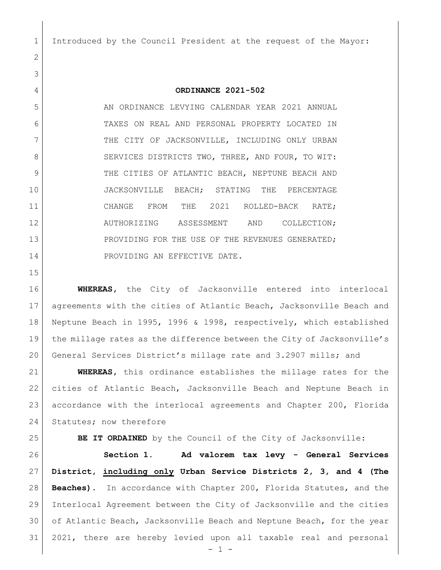Introduced by the Council President at the request of the Mayor:

## **ORDINANCE 2021-502**

5 AN ORDINANCE LEVYING CALENDAR YEAR 2021 ANNUAL TAXES ON REAL AND PERSONAL PROPERTY LOCATED IN 7 THE CITY OF JACKSONVILLE, INCLUDING ONLY URBAN 8 SERVICES DISTRICTS TWO, THREE, AND FOUR, TO WIT: 9 THE CITIES OF ATLANTIC BEACH, NEPTUNE BEACH AND JACKSONVILLE BEACH; STATING THE PERCENTAGE 11 CHANGE FROM THE 2021 ROLLED-BACK RATE; AUTHORIZING ASSESSMENT AND COLLECTION; 13 PROVIDING FOR THE USE OF THE REVENUES GENERATED; 14 PROVIDING AN EFFECTIVE DATE.

 **WHEREAS,** the City of Jacksonville entered into interlocal agreements with the cities of Atlantic Beach, Jacksonville Beach and Neptune Beach in 1995, 1996 & 1998, respectively, which established the millage rates as the difference between the City of Jacksonville's General Services District's millage rate and 3.2907 mills; and

 **WHEREAS,** this ordinance establishes the millage rates for the cities of Atlantic Beach, Jacksonville Beach and Neptune Beach in accordance with the interlocal agreements and Chapter 200, Florida 24 Statutes; now therefore

**BE IT ORDAINED** by the Council of the City of Jacksonville:

 **Section 1. Ad valorem tax levy - General Services District, including only Urban Service Districts 2, 3, and 4 (The Beaches).** In accordance with Chapter 200, Florida Statutes, and the Interlocal Agreement between the City of Jacksonville and the cities of Atlantic Beach, Jacksonville Beach and Neptune Beach, for the year 2021, there are hereby levied upon all taxable real and personal

 $-1 -$